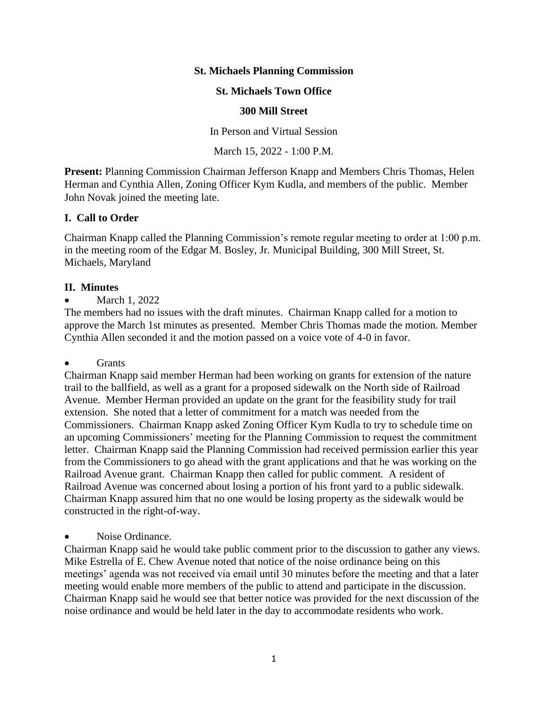# **St. Michaels Planning Commission**

### **St. Michaels Town Office**

#### **300 Mill Street**

In Person and Virtual Session

# March 15, 2022 - 1:00 P.M.

**Present:** Planning Commission Chairman Jefferson Knapp and Members Chris Thomas, Helen Herman and Cynthia Allen, Zoning Officer Kym Kudla, and members of the public. Member John Novak joined the meeting late.

## **I. Call to Order**

Chairman Knapp called the Planning Commission's remote regular meeting to order at 1:00 p.m. in the meeting room of the Edgar M. Bosley, Jr. Municipal Building, 300 Mill Street, St. Michaels, Maryland

## **II. Minutes**

March 1, 2022

The members had no issues with the draft minutes. Chairman Knapp called for a motion to approve the March 1st minutes as presented. Member Chris Thomas made the motion. Member Cynthia Allen seconded it and the motion passed on a voice vote of 4-0 in favor.

#### • Grants

Chairman Knapp said member Herman had been working on grants for extension of the nature trail to the ballfield, as well as a grant for a proposed sidewalk on the North side of Railroad Avenue. Member Herman provided an update on the grant for the feasibility study for trail extension. She noted that a letter of commitment for a match was needed from the Commissioners. Chairman Knapp asked Zoning Officer Kym Kudla to try to schedule time on an upcoming Commissioners' meeting for the Planning Commission to request the commitment letter. Chairman Knapp said the Planning Commission had received permission earlier this year from the Commissioners to go ahead with the grant applications and that he was working on the Railroad Avenue grant. Chairman Knapp then called for public comment. A resident of Railroad Avenue was concerned about losing a portion of his front yard to a public sidewalk. Chairman Knapp assured him that no one would be losing property as the sidewalk would be constructed in the right-of-way.

#### Noise Ordinance.

Chairman Knapp said he would take public comment prior to the discussion to gather any views. Mike Estrella of E. Chew Avenue noted that notice of the noise ordinance being on this meetings' agenda was not received via email until 30 minutes before the meeting and that a later meeting would enable more members of the public to attend and participate in the discussion. Chairman Knapp said he would see that better notice was provided for the next discussion of the noise ordinance and would be held later in the day to accommodate residents who work.